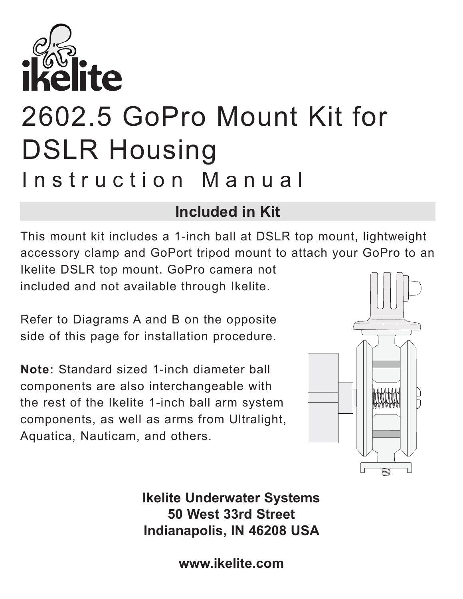

## 2602.5 GoPro Mount Kit for DSLR Housing Instruction Manual

## **Included in Kit**

This mount kit includes a 1-inch ball at DSLR top mount, lightweight accessory clamp and GoPort tripod mount to attach your GoPro to an Ikelite DSLR top mount. GoPro camera not

included and not available through Ikelite.

Refer to Diagrams A and B on the opposite side of this page for installation procedure.

**Note:** Standard sized 1-inch diameter ball components are also interchangeable with the rest of the Ikelite 1-inch ball arm system components, as well as arms from Ultralight, Aquatica, Nauticam, and others.



**Ikelite Underwater Systems 50 West 33rd Street Indianapolis, IN 46208 USA**

**www.ikelite.com**